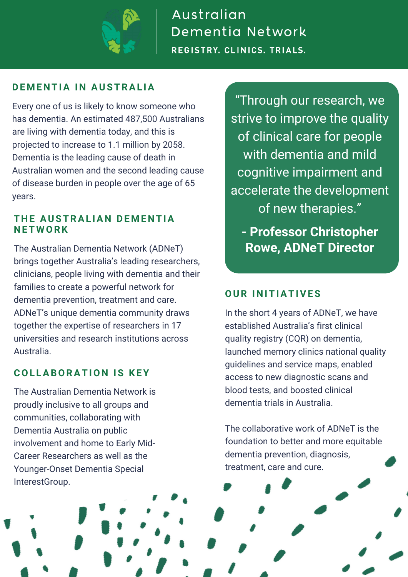

Australian Dementia Network **REGISTRY. CLINICS. TRIALS.** 

### **DE M E N TIA I N AUSTRAL IA**

Every one of us is likely to know someone who has dementia. An estimated 487,500 Australians are living with dementia today, and this is projected to increase to 1.1 million by 2058. Dementia is the leading cause of death in Australian women and the second leading cause of disease burden in people over the age of 65 years.

#### **T H E AUSTRAL IA N DE M E N TIA N ET W ORK**

The [Australian](https://www.australiandementianetwork.org.au/) Dementia Network [\(ADNeT\)](https://www.australiandementianetwork.org.au/) brings together Australia's leading researchers, clinicians, people living with dementia and their families to create a powerful network for dementia prevention, treatment and care. ADNeT's unique dementia community draws together the expertise of researchers in 17 universities and research institutions across Australia.

### **COL LABORATIO N IS KEY**

The Australian Dementia Network is proudly inclusive to all groups and communities, collaborating with Dementia Australia on public involvement and home to Early Mid-Career Researchers as well as the Younger-Onset Dementia Special InterestGroup.

"Through our research, we strive to improve the quality of clinical care for people with dementia and mild cognitive impairment and accelerate the development of new therapies."

**- Professor Christopher Rowe, ADNeT Director**

### **OUR I N ITIATIVES**

In the short 4 years of ADNeT, we have established Australia's first clinical quality registry (CQR) on dementia, launched memory clinics national quality guidelines and service maps, enabled access to new diagnostic scans and blood tests, and boosted clinical dementia trials in Australia.

The collaborative work of ADNeT is the foundation to better and more equitable dementia prevention, diagnosis, treatment, care and cure.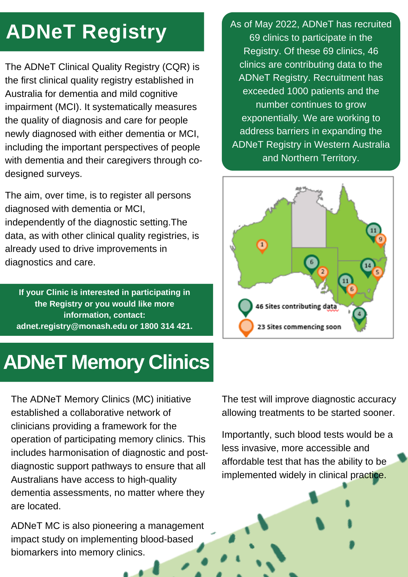# **ADNeT Registry**

The ADNeT Clinical Quality Registry (CQR) is the first clinical quality registry established in Australia for dementia and mild cognitive impairment (MCI). It systematically measures the quality of diagnosis and care for people newly diagnosed with either dementia or MCI, including the important perspectives of people with dementia and their caregivers through codesigned surveys.

The aim, over time, is to register all persons diagnosed with dementia or MCI, independently of the diagnostic setting.The data, as with other clinical quality registries, is already used to drive improvements in diagnostics and care.

**If your Clinic is interested in participating in the Registry or you would like more information, contact: [adnet.registry@monash.edu](mailto:adnet.registry@monash.edu) or 1800 314 421.**

## **ADNeT Memory Clinics**

The ADNeT Memory Clinics (MC) initiative established a collaborative network of clinicians providing a framework for the operation of participating memory clinics. This includes harmonisation of diagnostic and postdiagnostic support pathways to ensure that all Australians have access to high-quality dementia assessments, no matter where they are located.

ADNeT MC is also pioneering a management impact study on implementing blood-based biomarkers into memory clinics.

As of May 2022, ADNeT has recruited 69 clinics to participate in the Registry. Of these 69 clinics, 46 clinics are contributing data to the ADNeT Registry. Recruitment has exceeded 1000 patients and the number continues to grow exponentially. We are working to address barriers in expanding the ADNeT Registry in Western Australia and Northern Territory.



The test will improve diagnostic accuracy allowing treatments to be started sooner.

Importantly, such blood tests would be a less invasive, more accessible and affordable test that has the ability to be implemented widely in clinical practice.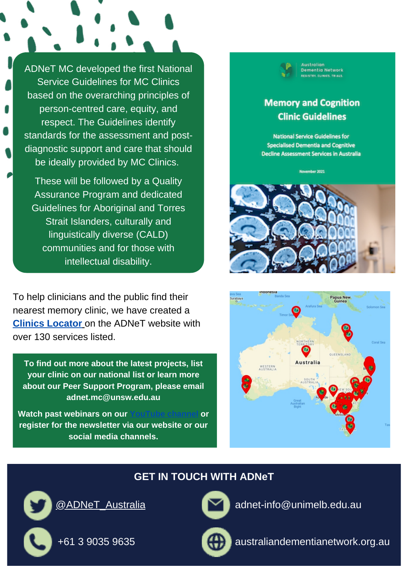ADNeT MC developed the first National Service [Guidelines](https://www.australiandementianetwork.org.au/initiatives/memory-clinics-network/adnet-memory-and-cognition-clinic-guidelines/) for MC Clinics based on the overarching principles of person-centred care, equity, and respect. The Guidelines identify standards for the assessment and postdiagnostic support and care that should be ideally provided by MC Clinics.

These will be followed by a Quality Assurance Program and dedicated Guidelines for Aboriginal and Torres Strait Islanders, culturally and linguistically diverse (CALD) communities and for those with intellectual disability.

To help clinicians and the public find their nearest memory clinic, we have created a **Clinics [Locator](https://www.australiandementianetwork.org.au/initiatives/memory-clinics-network/)** [o](https://www.australiandementianetwork.org.au/initiatives/memory-clinics-network/)n the ADNeT website with over 130 services listed.

**To find out more about the latest projects, list your clinic on our national list or learn more about our Peer Support Program, please email [adnet.mc@unsw.edu.au](mailto:adnet.mc@unsw.edu.au)**

**Watch past webinars on our [YouTube channel](https://www.youtube.com/channel/UCumNm6-FqyjznoEXqJBHSrA/videos) or register for the newsletter via our website or our social media channels.**

### **Memory and Cognition Clinic Guidelines**

Australian<br>Dementia Network **STRY FLOWING PRINTS** 

**National Service Guidelines for Specialised Dementia and Cognitive Decline Assessment Services in Australia** 

venber 2022





### **GET IN TOUCH WITH ADNeT**

[@ADNeT\\_Australia](https://twitter.com/ADNet_Australia)

+61 3 9035 9635

[adnet-info@unimelb.edu.au](mailto:adnet-info@unimelb.edu.au)

[australiandementianetwork.org.au](http://www.australiandementianetwork.org.au/)